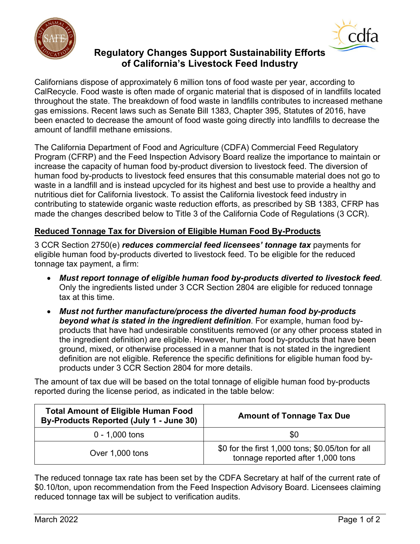



# **Regulatory Changes Support Sustainability Efforts of California's Livestock Feed Industry**

amount of landfill methane emissions. Californians dispose of approximately 6 million tons of food waste per year, according to CalRecycle. Food waste is often made of organic material that is disposed of in landfills located throughout the state. The breakdown of food waste in landfills contributes to increased methane gas emissions. Recent laws such as Senate Bill 1383, Chapter 395, Statutes of 2016, have been enacted to decrease the amount of food waste going directly into landfills to decrease the

 Program (CFRP) and the Feed Inspection Advisory Board realize the importance to maintain or nutritious diet for California livestock. To assist the California livestock feed industry in contributing to statewide organic waste reduction efforts, as prescribed by SB 1383, CFRP has made the changes described below to Title 3 of the California Code of Regulations (3 CCR). The California Department of Food and Agriculture (CDFA) Commercial Feed Regulatory increase the capacity of human food by-product diversion to livestock feed. The diversion of human food by-products to livestock feed ensures that this consumable material does not go to waste in a landfill and is instead upcycled for its highest and best use to provide a healthy and

## **Reduced Tonnage Tax for Diversion of Eligible Human Food By-Products**

 3 CCR Section 2750(e) *reduces commercial feed licensees' tonnage tax* payments for eligible human food by-products diverted to livestock feed. To be eligible for the reduced tonnage tax payment, a firm:

- *Must report tonnage of eligible human food by-products diverted to livestock feed*. Only the ingredients listed under 3 CCR Section 2804 are eligible for reduced tonnage tax at this time.
- *Must not further manufacture/process the diverted human food by-products beyond what is stated in the ingredient definition*. For example, human food byproducts that have had undesirable constituents removed (or any other process stated in the ingredient definition) are eligible. However, human food by-products that have been ground, mixed, or otherwise processed in a manner that is not stated in the ingredient definition are not eligible. Reference the specific definitions for eligible human food byproducts under 3 CCR Section 2804 for more details.

 The amount of tax due will be based on the total tonnage of eligible human food by-products reported during the license period, as indicated in the table below:

| <b>Total Amount of Eligible Human Food</b><br>By-Products Reported (July 1 - June 30) | <b>Amount of Tonnage Tax Due</b>                                                      |
|---------------------------------------------------------------------------------------|---------------------------------------------------------------------------------------|
| $0 - 1,000$ tons                                                                      | \$0                                                                                   |
| Over 1,000 tons                                                                       | \$0 for the first 1,000 tons; \$0.05/ton for all<br>tonnage reported after 1,000 tons |

The reduced tonnage tax rate has been set by the CDFA Secretary at half of the current rate of \$0.10/ton, upon recommendation from the Feed Inspection Advisory Board. Licensees claiming reduced tonnage tax will be subject to verification audits.